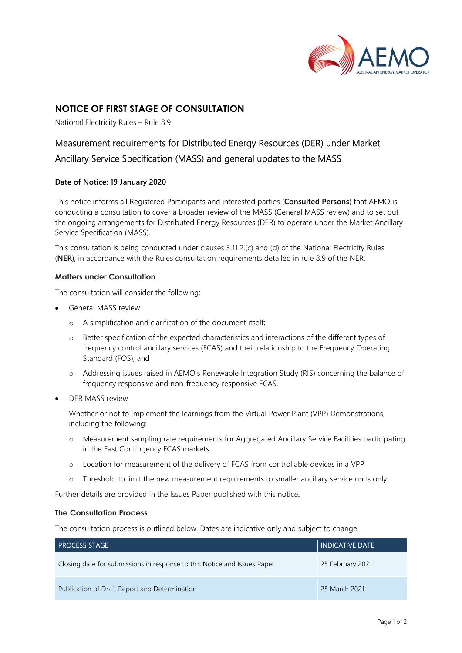

# NOTICE OF FIRST STAGE OF CONSULTATION

National Electricity Rules – Rule 8.9

# Measurement requirements for Distributed Energy Resources (DER) under Market Ancillary Service Specification (MASS) and general updates to the MASS

## Date of Notice: 19 January 2020

This notice informs all Registered Participants and interested parties (Consulted Persons) that AEMO is conducting a consultation to cover a broader review of the MASS (General MASS review) and to set out the ongoing arrangements for Distributed Energy Resources (DER) to operate under the Market Ancillary Service Specification (MASS).

This consultation is being conducted under clauses 3.11.2.(c) and (d) of the National Electricity Rules (NER), in accordance with the Rules consultation requirements detailed in rule 8.9 of the NER.

## Matters under Consultation

The consultation will consider the following:

- General MASS review
	- o A simplification and clarification of the document itself;
	- o Better specification of the expected characteristics and interactions of the different types of frequency control ancillary services (FCAS) and their relationship to the Frequency Operating Standard (FOS); and
	- o Addressing issues raised in AEMO's Renewable Integration Study (RIS) concerning the balance of frequency responsive and non-frequency responsive FCAS.
- DER MASS review

Whether or not to implement the learnings from the Virtual Power Plant (VPP) Demonstrations, including the following:

- o Measurement sampling rate requirements for Aggregated Ancillary Service Facilities participating in the Fast Contingency FCAS markets
- o Location for measurement of the delivery of FCAS from controllable devices in a VPP
- o Threshold to limit the new measurement requirements to smaller ancillary service units only

Further details are provided in the Issues Paper published with this notice.

#### The Consultation Process

The consultation process is outlined below. Dates are indicative only and subject to change.

| <b>PROCESS STAGE</b>                                                     | <b>INDICATIVE DATE</b> |
|--------------------------------------------------------------------------|------------------------|
| Closing date for submissions in response to this Notice and Issues Paper | 25 February 2021       |
| Publication of Draft Report and Determination                            | 25 March 2021          |